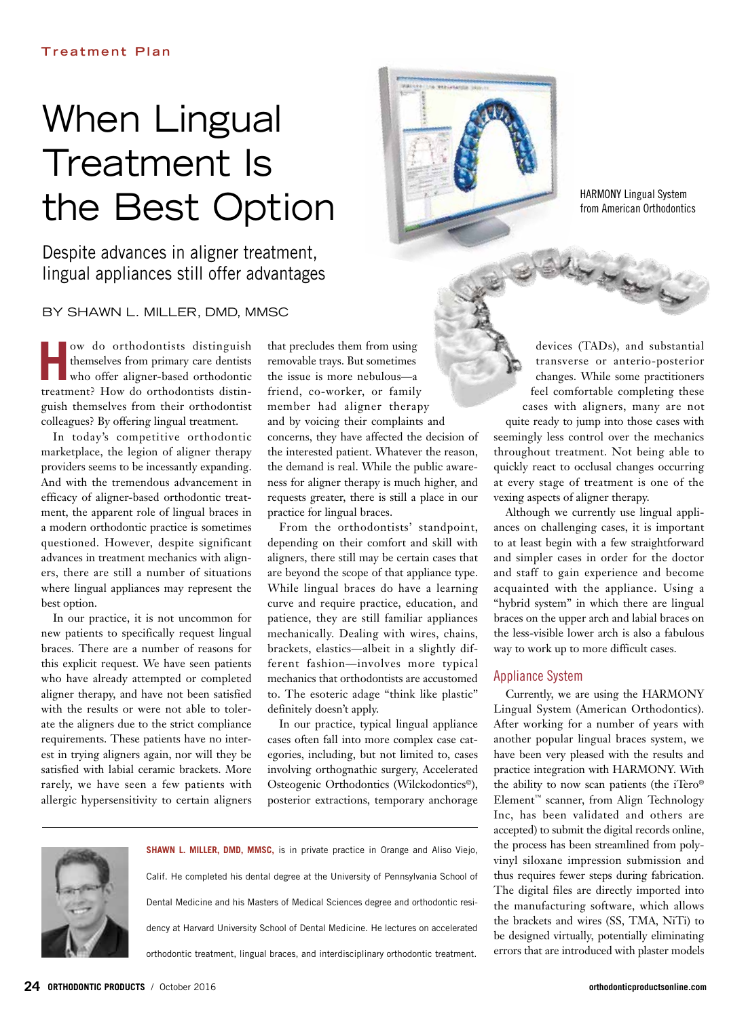# When Lingual Treatment Is the Best Option

Despite advances in aligner treatment, lingual appliances still offer advantages

BY SHAWN L. MILLER, DMD, MMSC

**How do orthodontists distinguish**<br>themselves from primary care dentists<br>who offer aligner-based orthodontic<br>little themselves from primary care dentists who offer aligner-based orthodontic treatment? How do orthodontists distinguish themselves from their orthodontist colleagues? By offering lingual treatment.

In today's competitive orthodontic marketplace, the legion of aligner therapy providers seems to be incessantly expanding. And with the tremendous advancement in efficacy of aligner-based orthodontic treatment, the apparent role of lingual braces in a modern orthodontic practice is sometimes questioned. However, despite significant advances in treatment mechanics with aligners, there are still a number of situations where lingual appliances may represent the best option.

In our practice, it is not uncommon for new patients to specifically request lingual braces. There are a number of reasons for this explicit request. We have seen patients who have already attempted or completed aligner therapy, and have not been satisfied with the results or were not able to tolerate the aligners due to the strict compliance requirements. These patients have no interest in trying aligners again, nor will they be satisfied with labial ceramic brackets. More rarely, we have seen a few patients with allergic hypersensitivity to certain aligners that precludes them from using removable trays. But sometimes the issue is more nebulous—a friend, co-worker, or family member had aligner therapy and by voicing their complaints and concerns, they have affected the decision of the interested patient. Whatever the reason, the demand is real. While the public awareness for aligner therapy is much higher, and requests greater, there is still a place in our practice for lingual braces.

From the orthodontists' standpoint, depending on their comfort and skill with aligners, there still may be certain cases that are beyond the scope of that appliance type. While lingual braces do have a learning curve and require practice, education, and patience, they are still familiar appliances mechanically. Dealing with wires, chains, brackets, elastics—albeit in a slightly different fashion—involves more typical mechanics that orthodontists are accustomed to. The esoteric adage "think like plastic" definitely doesn't apply.

In our practice, typical lingual appliance cases often fall into more complex case categories, including, but not limited to, cases involving orthognathic surgery, Accelerated Osteogenic Orthodontics (Wilckodontics©), posterior extractions, temporary anchorage

**SHAWN L. MILLER, DMD, MMSC,** is in private practice in Orange and Aliso Viejo, Calif. He completed his dental degree at the University of Pennsylvania School of Dental Medicine and his Masters of Medical Sciences degree and orthodontic residency at Harvard University School of Dental Medicine. He lectures on accelerated orthodontic treatment, lingual braces, and interdisciplinary orthodontic treatment.

14 Harry

HARMONY Lingual System from American Orthodontics

devices (TADs), and substantial transverse or anterio-posterior changes. While some practitioners feel comfortable completing these cases with aligners, many are not

quite ready to jump into those cases with seemingly less control over the mechanics throughout treatment. Not being able to quickly react to occlusal changes occurring at every stage of treatment is one of the vexing aspects of aligner therapy.

Although we currently use lingual appliances on challenging cases, it is important to at least begin with a few straightforward and simpler cases in order for the doctor and staff to gain experience and become acquainted with the appliance. Using a "hybrid system" in which there are lingual braces on the upper arch and labial braces on the less-visible lower arch is also a fabulous way to work up to more difficult cases.

# Appliance System

Currently, we are using the HARMONY Lingual System (American Orthodontics). After working for a number of years with another popular lingual braces system, we have been very pleased with the results and practice integration with HARMONY. With the ability to now scan patients (the iTero® Element™ scanner, from Align Technology Inc, has been validated and others are accepted) to submit the digital records online, the process has been streamlined from polyvinyl siloxane impression submission and thus requires fewer steps during fabrication. The digital files are directly imported into the manufacturing software, which allows the brackets and wires (SS, TMA, NiTi) to be designed virtually, potentially eliminating errors that are introduced with plaster models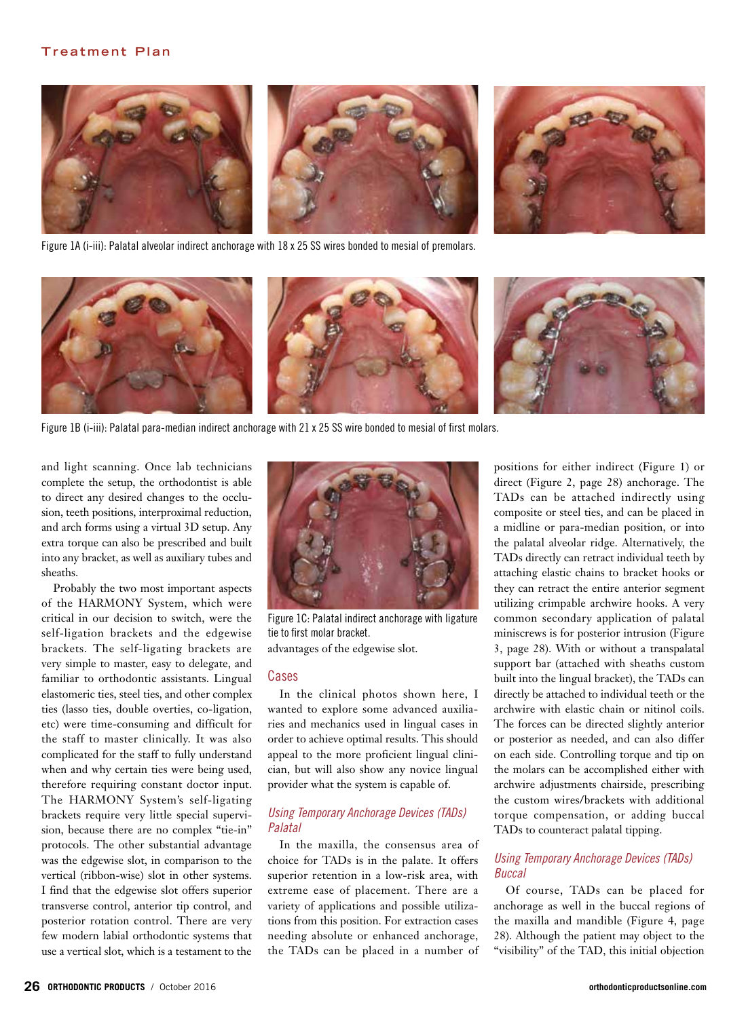# **Treatment Plan**









Figure 1B (i-iii): Palatal para-median indirect anchorage with 21 x 25 SS wire bonded to mesial of first molars.

and light scanning. Once lab technicians complete the setup, the orthodontist is able to direct any desired changes to the occlusion, teeth positions, interproximal reduction, and arch forms using a virtual 3D setup. Any extra torque can also be prescribed and built into any bracket, as well as auxiliary tubes and sheaths.

Probably the two most important aspects of the HARMONY System, which were critical in our decision to switch, were the self-ligation brackets and the edgewise brackets. The self-ligating brackets are very simple to master, easy to delegate, and familiar to orthodontic assistants. Lingual elastomeric ties, steel ties, and other complex ties (lasso ties, double overties, co-ligation, etc) were time-consuming and difficult for the staff to master clinically. It was also complicated for the staff to fully understand when and why certain ties were being used, therefore requiring constant doctor input. The HARMONY System's self-ligating brackets require very little special supervision, because there are no complex "tie-in" protocols. The other substantial advantage was the edgewise slot, in comparison to the vertical (ribbon-wise) slot in other systems. I find that the edgewise slot offers superior transverse control, anterior tip control, and posterior rotation control. There are very few modern labial orthodontic systems that use a vertical slot, which is a testament to the



Figure 1C: Palatal indirect anchorage with ligature tie to first molar bracket. advantages of the edgewise slot.

## Cases

In the clinical photos shown here, I wanted to explore some advanced auxiliaries and mechanics used in lingual cases in order to achieve optimal results. This should appeal to the more proficient lingual clinician, but will also show any novice lingual provider what the system is capable of.

# *Using Temporary Anchorage Devices (TADs) Palatal*

In the maxilla, the consensus area of choice for TADs is in the palate. It offers superior retention in a low-risk area, with extreme ease of placement. There are a variety of applications and possible utilizations from this position. For extraction cases needing absolute or enhanced anchorage, the TADs can be placed in a number of

positions for either indirect (Figure 1) or direct (Figure 2, page 28) anchorage. The TADs can be attached indirectly using composite or steel ties, and can be placed in a midline or para-median position, or into the palatal alveolar ridge. Alternatively, the TADs directly can retract individual teeth by attaching elastic chains to bracket hooks or they can retract the entire anterior segment utilizing crimpable archwire hooks. A very common secondary application of palatal miniscrews is for posterior intrusion (Figure 3, page 28). With or without a transpalatal support bar (attached with sheaths custom built into the lingual bracket), the TADs can directly be attached to individual teeth or the archwire with elastic chain or nitinol coils. The forces can be directed slightly anterior or posterior as needed, and can also differ on each side. Controlling torque and tip on the molars can be accomplished either with archwire adjustments chairside, prescribing the custom wires/brackets with additional torque compensation, or adding buccal TADs to counteract palatal tipping.

# *Using Temporary Anchorage Devices (TADs) Buccal*

Of course, TADs can be placed for anchorage as well in the buccal regions of the maxilla and mandible (Figure 4, page 28). Although the patient may object to the "visibility" of the TAD, this initial objection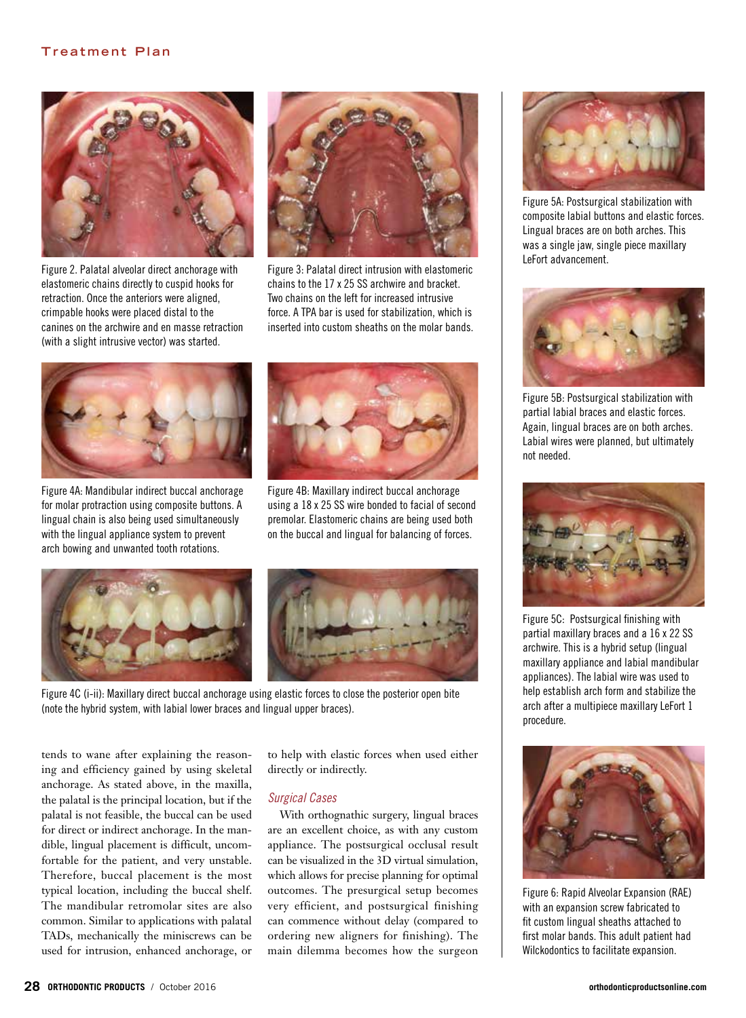# **Treatment Plan**



Figure 2. Palatal alveolar direct anchorage with elastomeric chains directly to cuspid hooks for retraction. Once the anteriors were aligned, crimpable hooks were placed distal to the canines on the archwire and en masse retraction (with a slight intrusive vector) was started.



Figure 3: Palatal direct intrusion with elastomeric chains to the 17 x 25 SS archwire and bracket. Two chains on the left for increased intrusive force. A TPA bar is used for stabilization, which is inserted into custom sheaths on the molar bands.



Figure 4A: Mandibular indirect buccal anchorage for molar protraction using composite buttons. A lingual chain is also being used simultaneously with the lingual appliance system to prevent arch bowing and unwanted tooth rotations.



Figure 4B: Maxillary indirect buccal anchorage using a 18 x 25 SS wire bonded to facial of second premolar. Elastomeric chains are being used both on the buccal and lingual for balancing of forces.



Figure 4C (i-ii): Maxillary direct buccal anchorage using elastic forces to close the posterior open bite (note the hybrid system, with labial lower braces and lingual upper braces).

tends to wane after explaining the reasoning and efficiency gained by using skeletal anchorage. As stated above, in the maxilla, the palatal is the principal location, but if the palatal is not feasible, the buccal can be used for direct or indirect anchorage. In the mandible, lingual placement is difficult, uncomfortable for the patient, and very unstable. Therefore, buccal placement is the most typical location, including the buccal shelf. The mandibular retromolar sites are also common. Similar to applications with palatal TADs, mechanically the miniscrews can be used for intrusion, enhanced anchorage, or

to help with elastic forces when used either directly or indirectly.

#### *Surgical Cases*

With orthognathic surgery, lingual braces are an excellent choice, as with any custom appliance. The postsurgical occlusal result can be visualized in the 3D virtual simulation, which allows for precise planning for optimal outcomes. The presurgical setup becomes very efficient, and postsurgical finishing can commence without delay (compared to ordering new aligners for finishing). The main dilemma becomes how the surgeon



Figure 5A: Postsurgical stabilization with composite labial buttons and elastic forces. Lingual braces are on both arches. This was a single jaw, single piece maxillary LeFort advancement.



Figure 5B: Postsurgical stabilization with partial labial braces and elastic forces. Again, lingual braces are on both arches. Labial wires were planned, but ultimately not needed.



Figure 5C: Postsurgical finishing with partial maxillary braces and a 16 x 22 SS archwire. This is a hybrid setup (lingual maxillary appliance and labial mandibular appliances). The labial wire was used to help establish arch form and stabilize the arch after a multipiece maxillary LeFort 1 procedure.



Figure 6: Rapid Alveolar Expansion (RAE) with an expansion screw fabricated to fit custom lingual sheaths attached to first molar bands. This adult patient had Wilckodontics to facilitate expansion.